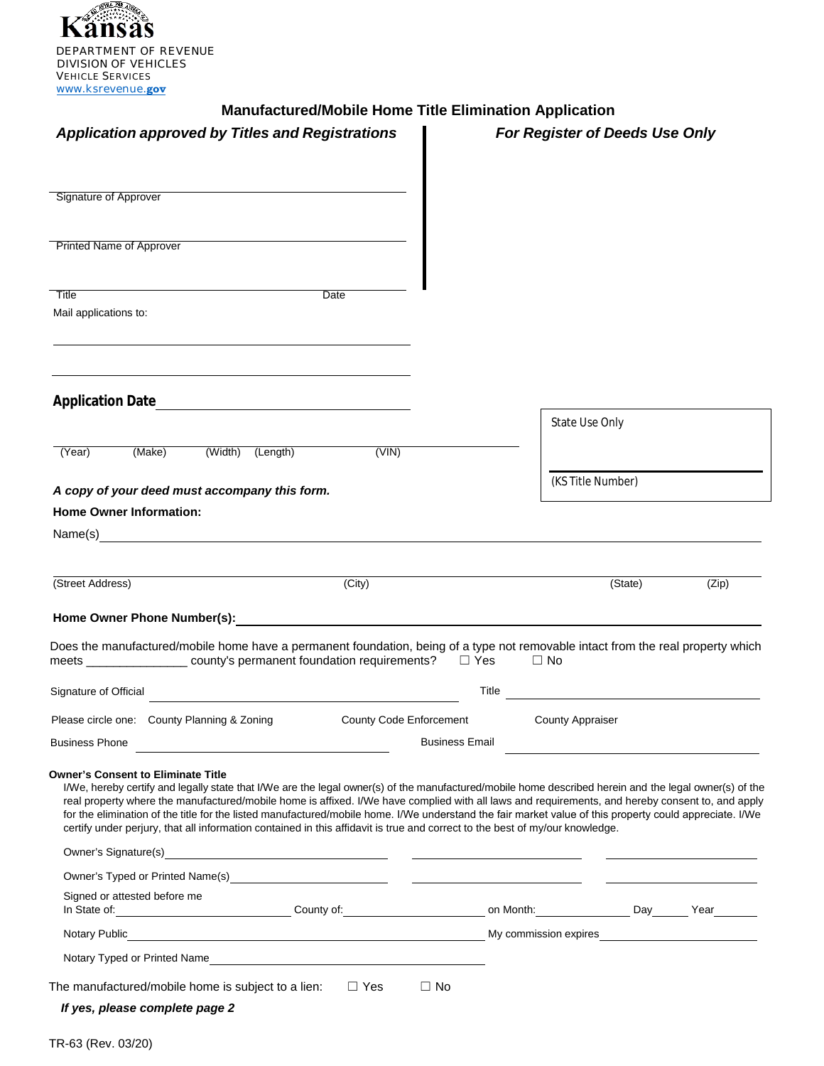

## **Manufactured/Mobile Home Title Elimination Application**

| <b>Application approved by Titles and Registrations</b>                                                                                                                                                                                                                                                                                                                                                                                                                                                                                                                                                                                            |                         | For Register of Deeds Use Only |                         |       |  |
|----------------------------------------------------------------------------------------------------------------------------------------------------------------------------------------------------------------------------------------------------------------------------------------------------------------------------------------------------------------------------------------------------------------------------------------------------------------------------------------------------------------------------------------------------------------------------------------------------------------------------------------------------|-------------------------|--------------------------------|-------------------------|-------|--|
| Signature of Approver                                                                                                                                                                                                                                                                                                                                                                                                                                                                                                                                                                                                                              |                         |                                |                         |       |  |
| <b>Printed Name of Approver</b>                                                                                                                                                                                                                                                                                                                                                                                                                                                                                                                                                                                                                    |                         |                                |                         |       |  |
|                                                                                                                                                                                                                                                                                                                                                                                                                                                                                                                                                                                                                                                    |                         |                                |                         |       |  |
| Title<br>Mail applications to:                                                                                                                                                                                                                                                                                                                                                                                                                                                                                                                                                                                                                     | Date                    |                                |                         |       |  |
|                                                                                                                                                                                                                                                                                                                                                                                                                                                                                                                                                                                                                                                    |                         |                                |                         |       |  |
| <b>Application Date</b><br><u> 1989 - John Stein, Amerikaansk politiker (</u>                                                                                                                                                                                                                                                                                                                                                                                                                                                                                                                                                                      |                         |                                | <b>State Use Only</b>   |       |  |
| (Width) (Length)<br>(Make)<br>(Year)                                                                                                                                                                                                                                                                                                                                                                                                                                                                                                                                                                                                               | (VIN)                   |                                |                         |       |  |
| A copy of your deed must accompany this form.                                                                                                                                                                                                                                                                                                                                                                                                                                                                                                                                                                                                      |                         |                                | (KS Title Number)       |       |  |
| <b>Home Owner Information:</b>                                                                                                                                                                                                                                                                                                                                                                                                                                                                                                                                                                                                                     |                         |                                |                         |       |  |
| Name(s)                                                                                                                                                                                                                                                                                                                                                                                                                                                                                                                                                                                                                                            |                         |                                |                         |       |  |
|                                                                                                                                                                                                                                                                                                                                                                                                                                                                                                                                                                                                                                                    |                         |                                |                         |       |  |
| (Street Address)                                                                                                                                                                                                                                                                                                                                                                                                                                                                                                                                                                                                                                   | (City)                  |                                | (State)                 | (Zip) |  |
| Home Owner Phone Number(s): New York Changes and Changes and Changes and Changes and Changes and Changes and Changes and Changes and Changes and Changes and Changes and Changes and Changes and Changes and Changes and Chang                                                                                                                                                                                                                                                                                                                                                                                                                     |                         |                                |                         |       |  |
| Does the manufactured/mobile home have a permanent foundation, being of a type not removable intact from the real property which<br>meets _________________ county's permanent foundation requirements? □ Yes                                                                                                                                                                                                                                                                                                                                                                                                                                      |                         |                                | $\Box$ No               |       |  |
| Signature of Official                                                                                                                                                                                                                                                                                                                                                                                                                                                                                                                                                                                                                              |                         | Title                          |                         |       |  |
| Please circle one: County Planning & Zoning                                                                                                                                                                                                                                                                                                                                                                                                                                                                                                                                                                                                        | County Code Enforcement |                                | <b>County Appraiser</b> |       |  |
| <b>Business Phone</b><br><u> 1980 - Johann Barbara, martin amerikan basar da</u>                                                                                                                                                                                                                                                                                                                                                                                                                                                                                                                                                                   |                         | <b>Business Email</b>          |                         |       |  |
| <b>Owner's Consent to Eliminate Title</b><br>I/We, hereby certify and legally state that I/We are the legal owner(s) of the manufactured/mobile home described herein and the legal owner(s) of the<br>real property where the manufactured/mobile home is affixed. I/We have complied with all laws and requirements, and hereby consent to, and apply<br>for the elimination of the title for the listed manufactured/mobile home. I/We understand the fair market value of this property could appreciate. I/We<br>certify under perjury, that all information contained in this affidavit is true and correct to the best of my/our knowledge. |                         |                                |                         |       |  |
|                                                                                                                                                                                                                                                                                                                                                                                                                                                                                                                                                                                                                                                    |                         |                                |                         |       |  |
|                                                                                                                                                                                                                                                                                                                                                                                                                                                                                                                                                                                                                                                    |                         |                                |                         |       |  |
| Signed or attested before me<br>In State of: <u>New Year County of: County of: New York: New York: New Year New Year New Year New York:</u>                                                                                                                                                                                                                                                                                                                                                                                                                                                                                                        |                         |                                |                         |       |  |
|                                                                                                                                                                                                                                                                                                                                                                                                                                                                                                                                                                                                                                                    |                         |                                |                         |       |  |
|                                                                                                                                                                                                                                                                                                                                                                                                                                                                                                                                                                                                                                                    |                         |                                |                         |       |  |
| The manufactured/mobile home is subject to a lien:                                                                                                                                                                                                                                                                                                                                                                                                                                                                                                                                                                                                 | $\Box$ Yes              | $\Box$ No                      |                         |       |  |
| If yes, please complete page 2                                                                                                                                                                                                                                                                                                                                                                                                                                                                                                                                                                                                                     |                         |                                |                         |       |  |